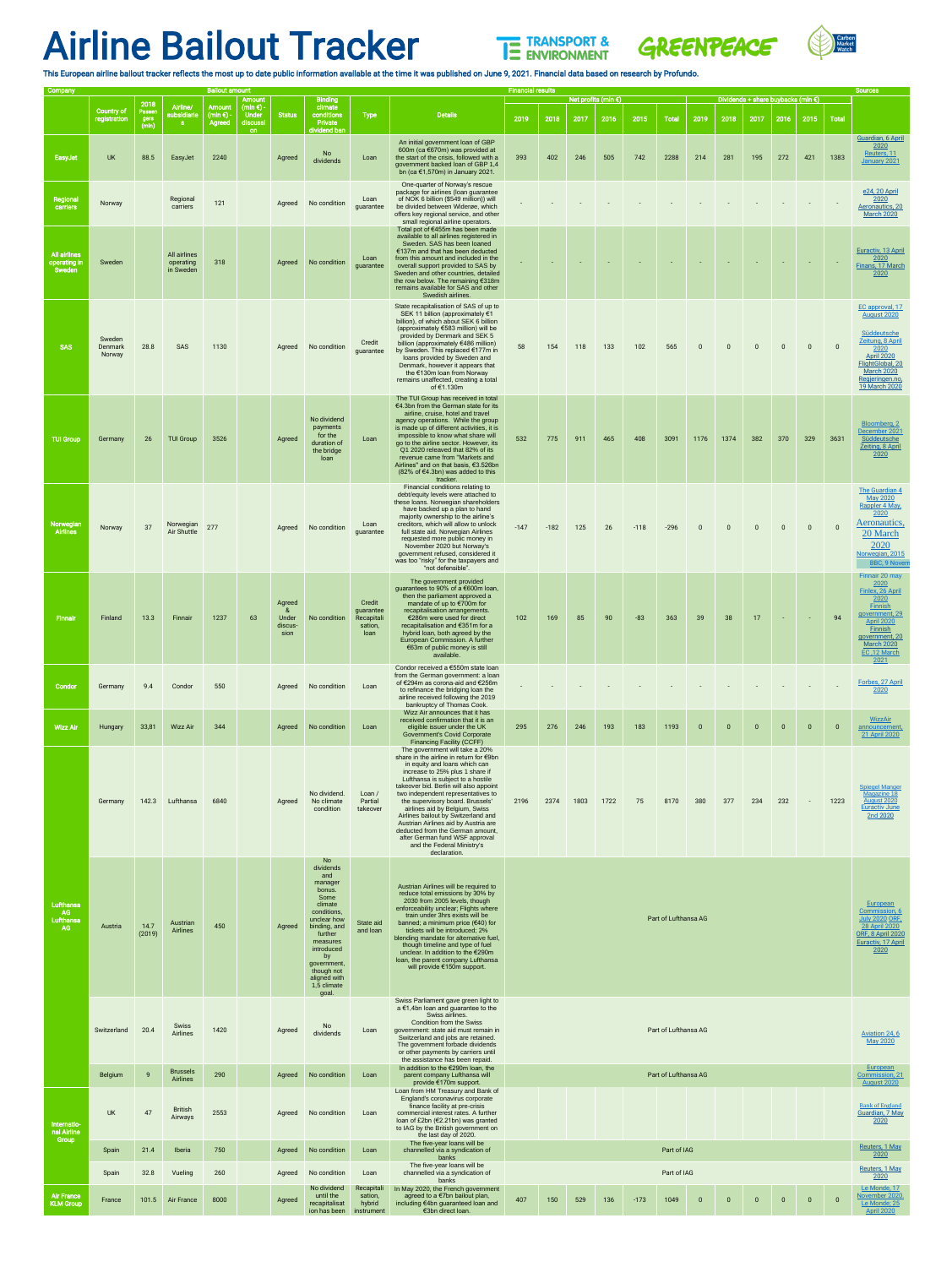## Airline Bailout Tracker





This European airline bailout tracker reflects the most up to date public information available at the time it was published on June 9, 2021. Financial data based on research by Profundo.

| Company                                       |                                    |                                 |                                        | <b>Bailout amount</b>                              | Amount                                         |                                          | <b>Binding</b>                                                                                                                                                                                                                           |                                                      |                                                                                                                                                                                                                                                                                                                                                                                                                                                                                                                                                                                | <b>Financial results</b><br>Net profits (mln $\epsilon$ )<br>Dividends + share buybacks (mln $\epsilon$ ) |                     |      |      |        |                      |                         |                |                | <b>Sources</b> |              |                                                                                                                               |                                                                                                                                                                                      |
|-----------------------------------------------|------------------------------------|---------------------------------|----------------------------------------|----------------------------------------------------|------------------------------------------------|------------------------------------------|------------------------------------------------------------------------------------------------------------------------------------------------------------------------------------------------------------------------------------------|------------------------------------------------------|--------------------------------------------------------------------------------------------------------------------------------------------------------------------------------------------------------------------------------------------------------------------------------------------------------------------------------------------------------------------------------------------------------------------------------------------------------------------------------------------------------------------------------------------------------------------------------|-----------------------------------------------------------------------------------------------------------|---------------------|------|------|--------|----------------------|-------------------------|----------------|----------------|----------------|--------------|-------------------------------------------------------------------------------------------------------------------------------|--------------------------------------------------------------------------------------------------------------------------------------------------------------------------------------|
|                                               | <b>Country of</b><br>registration  | 2018<br>Passen<br>gers<br>(mln) | Airline/<br>subsidiarie<br><b>S</b>    | <b>Amount</b><br>$(mln \epsilon)$<br><b>Agreed</b> | $(mln \epsilon)$ -<br><b>Under</b><br>discussi | <b>Status</b>                            | climate<br>conditions<br>Private                                                                                                                                                                                                         | <b>Type</b>                                          | <b>Details</b>                                                                                                                                                                                                                                                                                                                                                                                                                                                                                                                                                                 | 2019                                                                                                      | 2018                | 2017 | 2016 | 2015   | <b>Total</b>         | 2019                    | 2018           | 2017           | 2016           | 2015         | <b>Total</b>                                                                                                                  |                                                                                                                                                                                      |
| EasyJet                                       | <b>UK</b>                          | 88.5                            | EasyJet                                | 2240                                               | <b>on</b>                                      | Agreed                                   | dividend ban<br>No<br>dividends                                                                                                                                                                                                          | Loan                                                 | An initial government loan of GBP<br>600m (ca $€670m$ ) was provided at<br>the start of the crisis, followed with a<br>government backed loan of GBP 1.4<br>bn (ca €1,570m) in January 2021.                                                                                                                                                                                                                                                                                                                                                                                   | 393                                                                                                       | 402                 | 246  | 505  | 742    | 2288                 | 214                     | 281            | 195            | 272            | 421          | 1383                                                                                                                          | Guardian, 6 April<br>2020<br>Reuters, 11<br>January 2021                                                                                                                             |
| Regional<br>carriers                          | Norway                             |                                 | Regional<br>carriers                   | 121                                                |                                                | Agreed                                   | No condition                                                                                                                                                                                                                             | Loan<br>guarantee                                    | One-quarter of Norway's rescue<br>package for airlines (loan guarantee<br>of NOK 6 billion (\$549 million)) will<br>be divided between Widerøe, which<br>offers key regional service, and other<br>small regional airline operators.                                                                                                                                                                                                                                                                                                                                           |                                                                                                           |                     |      |      |        |                      |                         |                |                |                |              |                                                                                                                               | e24, 20 April<br>2020<br>Aeronautics, 20<br><b>March 2020</b>                                                                                                                        |
| <b>All airlines</b><br>operating in<br>Sweden | Sweden                             |                                 | All airlines<br>operating<br>in Sweden | 318                                                |                                                | Agreed                                   | No condition                                                                                                                                                                                                                             | Loan<br>guarantee                                    | Total pot of €455m has been made<br>available to all airlines registered in<br>Sweden. SAS has been loaned<br>$€137m$ and that has been deducted<br>from this amount and included in the<br>overall support provided to SAS by<br>Sweden and other countries, detailed<br>the row below. The remaining €318m<br>remains available for SAS and other<br>Swedish airlines.                                                                                                                                                                                                       |                                                                                                           |                     |      |      |        |                      |                         |                |                |                |              |                                                                                                                               | Euractiv, 13 April<br>2020<br>Finans, 17 March<br>2020                                                                                                                               |
| <b>SAS</b>                                    | Sweden<br><b>Denmark</b><br>Norway | 28.8                            | SAS                                    | 1130                                               |                                                | Agreed                                   | No condition                                                                                                                                                                                                                             | Credit<br>guarantee                                  | State recapitalisation of SAS of up to<br>SEK 11 billion (approximately €1<br>billion), of which about SEK 6 billion<br>(approximately €583 million) will be<br>provided by Denmark and SEK 5<br>billion (approximately €486 million)<br>by Sweden. This replaced €177m in<br>loans provided by Sweden and<br>Denmark, however it appears that<br>the €130m loan from Norway<br>remains unaffected, creating a total<br>of €1.130m                                                                                                                                             | 58                                                                                                        | 154                 | 118  | 133  | 102    | 565                  | $\Omega$                | $\Omega$       | $\Omega$       | $\Omega$       | $\mathbf{0}$ | $\overline{0}$                                                                                                                | EC approval, 17<br><b>August 2020</b><br>Süddeutsche<br>Zeitung, 8 April<br>2020<br><b>April 2020</b><br>FlightGlobal, 20<br><b>March 2020</b><br>Regjeringen.no,<br>19 March 2020   |
| <b>TUI Group</b>                              | Germany                            | 26                              | <b>TUI Group</b>                       | 3526                                               |                                                | Agreed                                   | No dividend<br>payments<br>for the<br>duration of<br>the bridge<br>loan                                                                                                                                                                  | Loan                                                 | The TUI Group has received in total<br>€4.3bn from the German state for its<br>airline, cruise, hotel and travel<br>agency operations. While the group<br>is made up of different activities, it is<br>impossible to know what share will<br>go to the airline sector. However, its<br>Q1 2020 releaved that 82% of its<br>revenue came from "Markets and<br>Airlines" and on that basis, €3.526bn<br>$(82\% \text{ of } \in 4.3 \text{bn})$ was added to this<br>tracker.                                                                                                     | 532                                                                                                       | 775                 | 911  | 465  | 408    | 3091                 | 1176                    | 1374           | 382            | 370            | 329          | 3631                                                                                                                          | Bloomberg, 2<br>December 2021<br>Süddeutsche<br>Zeiting, 8 April<br>2020                                                                                                             |
| Norwegian<br><b>Airlines</b>                  | Norway                             | 37                              | Norwegian<br><b>Air Shuttle</b>        | 277                                                |                                                | Agreed                                   | No condition                                                                                                                                                                                                                             | Loan<br>guarantee                                    | Financial conditions relating to<br>debt/equity levels were attached to<br>these loans. Norwegian shareholders<br>have backed up a plan to hand<br>majority ownership to the airline's<br>creditors, which will allow to unlock<br>full state aid. Norwegian Airlines<br>requested more public money in<br>November 2020 but Norway's<br>government refused, considered it<br>was too "risky" for the taxpayers and<br>"not defensible".                                                                                                                                       | $-147$                                                                                                    | $-182$              | 125  | 26   | $-118$ | $-296$               | $\overline{0}$          | $\mathbf{0}$   | $\mathbf{0}$   | $\overline{0}$ | $\mathbf{0}$ | $\overline{0}$                                                                                                                | <b>The Guardian 4</b><br><b>May 2020</b><br>Rappler 4 May<br>2020<br>Aeronautics,<br>20 March<br>2020<br>Norwegian, 2015<br><b>BBC, 9 Nover</b>                                      |
| <b>Finnair</b>                                | <b>Finland</b>                     | 13.3                            | Finnair                                | 1237                                               | 63                                             | Agreed<br>୍ଷ<br>Under<br>discus-<br>sion | No condition                                                                                                                                                                                                                             | Credit<br>guarantee<br>Recapitali<br>sation,<br>loan | The government provided<br>guarantees to 90% of a €600m loan,<br>then the parliament approved a<br>mandate of up to €700m for<br>recapitalisation arrangements.<br>€286m were used for direct<br>recapitalisation and €351m for a<br>hybrid loan, both agreed by the<br>European Commission. A further<br>€63m of public money is still<br>available.                                                                                                                                                                                                                          | 102                                                                                                       | 169                 | 85   | 90   | $-83$  | 363                  | 39                      | 38             | 17             | $\sim$         | $\sim$ $-$   | 94                                                                                                                            | Finnair 20 may<br>2020<br>Finlex, 26 April<br>2020<br>Finnish<br>government, 29<br><b>April 2020</b><br><b>Finnish</b><br>government, 20<br><b>March 2020</b><br>EC,12 March<br>2021 |
| Condor                                        | Germany                            | 9.4                             | Condor                                 | 550                                                |                                                | Agreed                                   | No condition                                                                                                                                                                                                                             | Loan                                                 | Condor received a €550m state loan<br>from the German government: a loan<br>of €294m as corona-aid and €256m<br>to refinance the bridging loan the<br>airline received following the 2019<br>bankruptcy of Thomas Cook.                                                                                                                                                                                                                                                                                                                                                        | $\sim$                                                                                                    |                     |      |      |        |                      |                         |                |                |                |              |                                                                                                                               | Forbes, 27 April<br>2020                                                                                                                                                             |
| <b>Wizz Air</b>                               | Hungary                            | 33,81                           | <b>Wizz Air</b>                        | 344                                                |                                                | Agreed                                   | No condition                                                                                                                                                                                                                             | Loan                                                 | Wizz Air announces that it has<br>received confirmation that it is an<br>eligible issuer under the UK<br><b>Government's Covid Corporate</b>                                                                                                                                                                                                                                                                                                                                                                                                                                   | 295                                                                                                       | 276                 | 246  | 193  | 183    | 1193                 | $\overline{\mathbf{0}}$ | $\overline{0}$ | $\overline{0}$ | $\overline{0}$ | $\mathbf 0$  | $\overline{\mathbf{0}}$                                                                                                       | <b>WizzAir</b><br>announcement,<br>21 April 2020                                                                                                                                     |
|                                               | Germany                            | 142.3                           | Lufthansa                              | 6840                                               |                                                | Agreed                                   | No dividend.<br>No climate<br>condition                                                                                                                                                                                                  | Loan $/$<br>Partial<br>takeover                      | <b>Financing Facility (CCFF)</b><br>The government will take a 20%<br>share in the airline in return for €9bn<br>in equity and loans which can<br>increase to 25% plus 1 share if<br>Lufthansa is subject to a hostile<br>takeover bid. Berlin will also appoint<br>two independent representatives to<br>the supervisory board. Brussels'<br>airlines aid by Belgium, Swiss<br>Airlines bailout by Switzerland and<br>Austrian Airlines aid by Austria are<br>deducted from the German amount<br>after German fund WSF approval<br>and the Federal Ministry's<br>declaration. | 2196                                                                                                      | 2374                | 1803 | 1722 | 75     | 8170                 | 380                     | 377            | 234            | 232            | $\sim$       | 1223                                                                                                                          | <b>Spiegel Manger</b><br>Magazine 18<br>August 2020<br><b>Euractiv June</b><br>2nd 2020                                                                                              |
| Lufthansa<br>AG<br>Lufthansa<br>AG            | Austria                            | 14.7<br>(2019)                  | Austrian<br>Airlines                   | 450                                                |                                                | Agreed                                   | N <sub>o</sub><br>dividends<br>and<br>manager<br>bonus.<br>Some<br>climate<br>conditions,<br>unclear how<br>binding, and<br>further<br>measures<br>introduced<br>by<br>government,<br>though not<br>aligned with<br>1,5 climate<br>goal. | State aid<br>and loan                                | Austrian Airlines will be required to<br>reduce total emissions by 30% by<br>2030 from 2005 levels, though<br>enforceability unclear; Flights where<br>train under 3hrs exists will be<br>banned; a minimum price (€40) for<br>tickets will be introduced: 2%<br>blending mandate for alternative fuel,<br>though timeline and type of fuel<br>unclear. In addition to the €290m<br>Ioan, the parent company Lufthansa<br>will provide €150m support.                                                                                                                          | Part of Lufthansa AG                                                                                      |                     |      |      |        |                      |                         |                |                |                |              | European<br>Commission, 6<br><b>July 2020 ORF,</b><br>28 April 2020<br><b>ORF, 8 April 2020</b><br>Euractiv, 17 April<br>2020 |                                                                                                                                                                                      |
|                                               | Switzerland                        | 20.4                            | Swiss<br>Airlines                      | 1420                                               |                                                | Agreed                                   | No<br>dividends                                                                                                                                                                                                                          | Loan                                                 | Swiss Parliament gave green light to<br>a €1,4bn loan and guarantee to the<br>Swiss airlines.<br><b>Condition from the Swiss</b><br>government: state aid must remain in<br>Switzerland and jobs are retained.<br>The government forbade dividends<br>or other payments by carriers until<br>the assistance has been repaid.                                                                                                                                                                                                                                                   | Part of Lufthansa AG                                                                                      |                     |      |      |        |                      |                         |                |                |                |              | Aviation 24, 6<br><b>May 2020</b><br>European                                                                                 |                                                                                                                                                                                      |
|                                               | Belgium                            | <b>Q</b>                        | <b>Brussels</b><br><b>Airlines</b>     | 290                                                |                                                | Agreed                                   | No condition                                                                                                                                                                                                                             | Loan                                                 | In addition to the $€290m$ loan, the<br>parent company Lufthansa will<br>provide €170m support.<br>Loan from HM Treasury and Bank of                                                                                                                                                                                                                                                                                                                                                                                                                                           |                                                                                                           |                     |      |      |        | Part of Lufthansa AG |                         |                |                |                |              |                                                                                                                               | Commission, 21<br><b>August 2020</b>                                                                                                                                                 |
| Internatio-<br>nal Airline                    | <b>UK</b>                          | 47                              | <b>British</b><br>Airways              | 2553                                               |                                                | Agreed                                   | No condition                                                                                                                                                                                                                             | Loan                                                 | England's coronavirus corporate<br>finance facility at pre-crisis<br>commercial interest rates. A further<br>loan of £2bn ( $E$ 2.21bn) was granted<br>to IAG by the British government on<br>the last day of 2020.                                                                                                                                                                                                                                                                                                                                                            |                                                                                                           |                     |      |      |        |                      |                         |                |                |                |              |                                                                                                                               | <b>Bank of England</b><br>Guardian, 7 May<br>2020                                                                                                                                    |
| Group                                         | Spain                              | 21.4                            | Iberia                                 | 750                                                |                                                | Agreed                                   | No condition                                                                                                                                                                                                                             | Loan                                                 | The five-year loans will be<br>channelled via a syndication of<br>banks                                                                                                                                                                                                                                                                                                                                                                                                                                                                                                        |                                                                                                           |                     |      |      |        | Part of IAG          |                         |                |                |                |              |                                                                                                                               | Reuters, 1 May<br>2020                                                                                                                                                               |
|                                               | Spain                              | 32.8                            | Vueling                                | 260                                                |                                                | Agreed                                   | No condition                                                                                                                                                                                                                             | Loan                                                 | The five-year loans will be<br>channelled via a syndication of<br>banks                                                                                                                                                                                                                                                                                                                                                                                                                                                                                                        |                                                                                                           | Part of IAG<br>2020 |      |      |        |                      |                         |                |                | Reuters, 1 May |              |                                                                                                                               |                                                                                                                                                                                      |
| <b>Air France</b><br><b>KLM Group</b>         | France                             | 101.5                           | Air France                             | 8000                                               |                                                | Agreed                                   | No dividend<br>until the<br>recapitalisat<br>ion has been                                                                                                                                                                                | Recapitali<br>sation,<br>hybrid<br>instrument        | In May 2020, the French government<br>agreed to a €7bn bailout plan,<br>including €4bn guaranteed loan and<br>€3bn direct loan.                                                                                                                                                                                                                                                                                                                                                                                                                                                | 407                                                                                                       | 150                 | 529  | 136  | $-173$ | 1049                 | $\overline{\mathbf{0}}$ | $\overline{0}$ | $\mathbf{0}$   | $\overline{0}$ | $\mathbf{0}$ | $\overline{\mathbf{0}}$                                                                                                       | Le Monde, 17<br>November 2020.<br>Le Monde; 25<br><b>April 2020</b>                                                                                                                  |